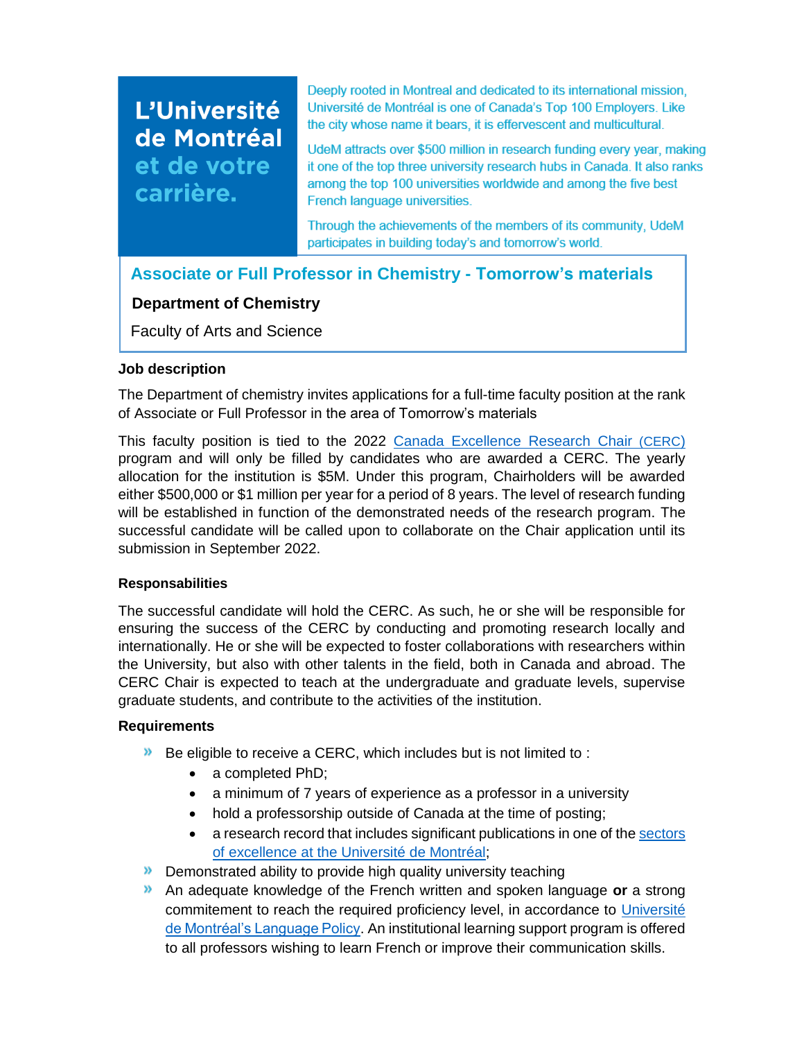# L'Université de Montréal et de votre carrière.

Deeply rooted in Montreal and dedicated to its international mission, Université de Montréal is one of Canada's Top 100 Employers. Like the city whose name it bears, it is effervescent and multicultural.

UdeM attracts over \$500 million in research funding every year, making it one of the top three university research hubs in Canada. It also ranks among the top 100 universities worldwide and among the five best French language universities.

Through the achievements of the members of its community, UdeM participates in building today's and tomorrow's world.

**Associate or Full Professor in Chemistry - Tomorrow's materials**

# **Department of Chemistry**

Faculty of Arts and Science

## **Job description**

The Department of chemistry invites applications for a full-time faculty position at the rank of Associate or Full Professor in the area of Tomorrow's materials

This faculty position is tied to the 2022 [Canada Excellence Research Chair](https://www.cerc.gc.ca/home-accueil-eng.aspx) (CERC) program and will only be filled by candidates who are awarded a CERC. The yearly allocation for the institution is \$5M. Under this program, Chairholders will be awarded either \$500,000 or \$1 million per year for a period of 8 years. The level of research funding will be established in function of the demonstrated needs of the research program. The successful candidate will be called upon to collaborate on the Chair application until its submission in September 2022.

#### **Responsabilities**

The successful candidate will hold the CERC. As such, he or she will be responsible for ensuring the success of the CERC by conducting and promoting research locally and internationally. He or she will be expected to foster collaborations with researchers within the University, but also with other talents in the field, both in Canada and abroad. The CERC Chair is expected to teach at the undergraduate and graduate levels, supervise graduate students, and contribute to the activities of the institution.

## **Requirements**

- $\triangleright$  Be eligible to receive a CERC, which includes but is not limited to :
	- a completed PhD;
	- a minimum of 7 years of experience as a professor in a university
	- hold a professorship outside of Canada at the time of posting;
	- a research record that includes significant publications in one of th[e sectors](https://recherche.umontreal.ca/fileadmin/recherche/documents/user_upload_ancien/La_recherche_a_UdeM/Fichiers/FIN-Plan_ACTION-VRRDCI-FR_2022_2027.pdf)  of excellence [at the Université de Montréal;](https://recherche.umontreal.ca/fileadmin/recherche/documents/user_upload_ancien/La_recherche_a_UdeM/Fichiers/FIN-Plan_ACTION-VRRDCI-FR_2022_2027.pdf)
- **Demonstrated ability to provide high quality university teaching**
- An adequate knowledge of the French written and spoken language **or** a strong commitement to reach the required proficiency level, in accordance to Université [de Montréal's Language Policy.](https://francais.umontreal.ca/politique-linguistique/la-politique-linguistique-en-bref/) An institutional learning support program is offered to all professors wishing to learn French or improve their communication skills.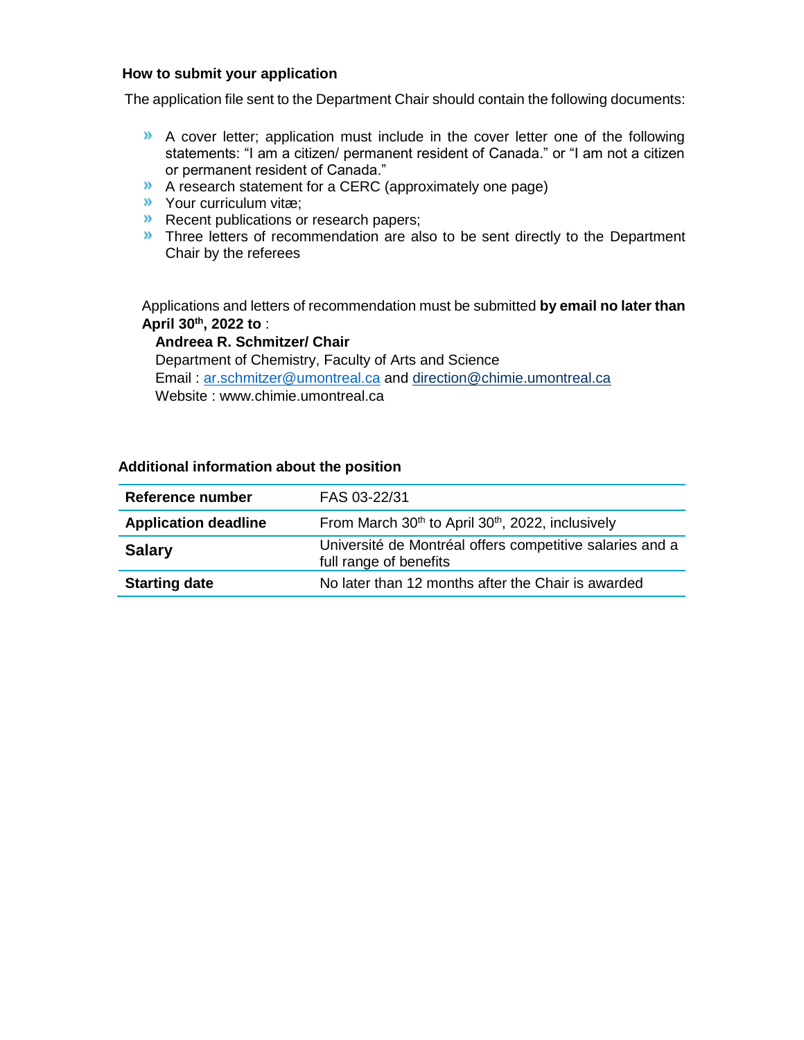#### **How to submit your application**

The application file sent to the Department Chair should contain the following documents:

- A cover letter; application must include in the cover letter one of the following statements: "I am a citizen/ permanent resident of Canada." or "I am not a citizen or permanent resident of Canada."
- A research statement for a CERC (approximately one page)
- Your curriculum vitæ;
- **Recent publications or research papers;**
- **Three letters of recommendation are also to be sent directly to the Department** Chair by the referees

Applications and letters of recommendation must be submitted **by email no later than April 30th, 2022 to** :

#### **Andreea R. Schmitzer/ Chair**

Department of Chemistry, Faculty of Arts and Science Email : [ar.schmitzer@umontreal.ca](mailto:ar.schmitzer@umontreal.ca) and [direction@chimie.umontreal.ca](mailto:direction@chimie.umontreal.ca) Website : www.chimie.umontreal.ca

| Reference number            | FAS 03-22/31                                                                       |
|-----------------------------|------------------------------------------------------------------------------------|
| <b>Application deadline</b> | From March 30 <sup>th</sup> to April 30 <sup>th</sup> , 2022, inclusively          |
| <b>Salary</b>               | Université de Montréal offers competitive salaries and a<br>full range of benefits |
| <b>Starting date</b>        | No later than 12 months after the Chair is awarded                                 |

#### **Additional information about the position**